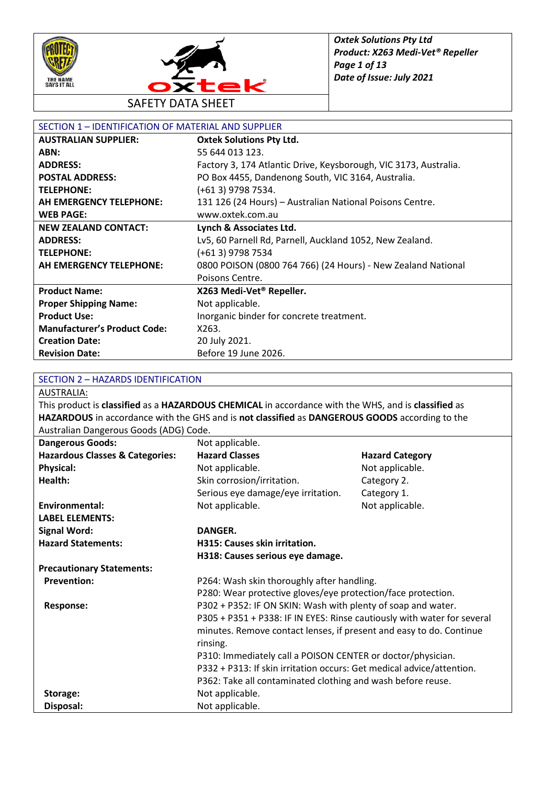



| SECTION 1 - IDENTIFICATION OF MATERIAL AND SUPPLIER |                                                                  |  |
|-----------------------------------------------------|------------------------------------------------------------------|--|
| <b>AUSTRALIAN SUPPLIER:</b>                         | <b>Oxtek Solutions Pty Ltd.</b>                                  |  |
| ABN:                                                | 55 644 013 123.                                                  |  |
| <b>ADDRESS:</b>                                     | Factory 3, 174 Atlantic Drive, Keysborough, VIC 3173, Australia. |  |
| <b>POSTAL ADDRESS:</b>                              | PO Box 4455, Dandenong South, VIC 3164, Australia.               |  |
| <b>TELEPHONE:</b>                                   | (+61 3) 9798 7534.                                               |  |
| AH EMERGENCY TELEPHONE:                             | 131 126 (24 Hours) - Australian National Poisons Centre.         |  |
| <b>WEB PAGE:</b>                                    | www.oxtek.com.au                                                 |  |
| <b>NEW ZEALAND CONTACT:</b>                         | Lynch & Associates Ltd.                                          |  |
| <b>ADDRESS:</b>                                     | Lv5, 60 Parnell Rd, Parnell, Auckland 1052, New Zealand.         |  |
| <b>TELEPHONE:</b>                                   | (+61 3) 9798 7534                                                |  |
| AH EMERGENCY TELEPHONE:                             | 0800 POISON (0800 764 766) (24 Hours) - New Zealand National     |  |
|                                                     | Poisons Centre.                                                  |  |
| <b>Product Name:</b>                                | X263 Medi-Vet <sup>®</sup> Repeller.                             |  |
| <b>Proper Shipping Name:</b>                        | Not applicable.                                                  |  |
| <b>Product Use:</b>                                 | Inorganic binder for concrete treatment.                         |  |
| <b>Manufacturer's Product Code:</b>                 | X263.                                                            |  |
| <b>Creation Date:</b>                               | 20 July 2021.                                                    |  |
| <b>Revision Date:</b>                               | Before 19 June 2026.                                             |  |

#### SECTION 2 – HAZARDS IDENTIFICATION

AUSTRALIA:

This product is **classified** as a **HAZARDOUS CHEMICAL** in accordance with the WHS, and is **classified** as **HAZARDOUS** in accordance with the GHS and is **not classified** as **DANGEROUS GOODS** according to the Australian Dangerous Goods (ADG) Code.

| <b>Dangerous Goods:</b>                    | Not applicable.                                                         |                        |
|--------------------------------------------|-------------------------------------------------------------------------|------------------------|
| <b>Hazardous Classes &amp; Categories:</b> | <b>Hazard Classes</b>                                                   | <b>Hazard Category</b> |
| <b>Physical:</b>                           | Not applicable.                                                         | Not applicable.        |
| Health:                                    | Skin corrosion/irritation.                                              | Category 2.            |
|                                            | Serious eye damage/eye irritation.                                      | Category 1.            |
| <b>Environmental:</b>                      | Not applicable.                                                         | Not applicable.        |
| <b>LABEL ELEMENTS:</b>                     |                                                                         |                        |
| <b>Signal Word:</b>                        | DANGER.                                                                 |                        |
| <b>Hazard Statements:</b>                  | H315: Causes skin irritation.                                           |                        |
|                                            | H318: Causes serious eye damage.                                        |                        |
| <b>Precautionary Statements:</b>           |                                                                         |                        |
| <b>Prevention:</b>                         | P264: Wash skin thoroughly after handling.                              |                        |
|                                            | P280: Wear protective gloves/eye protection/face protection.            |                        |
| Response:                                  | P302 + P352: IF ON SKIN: Wash with plenty of soap and water.            |                        |
|                                            | P305 + P351 + P338: IF IN EYES: Rinse cautiously with water for several |                        |
|                                            | minutes. Remove contact lenses, if present and easy to do. Continue     |                        |
|                                            | rinsing.                                                                |                        |
|                                            | P310: Immediately call a POISON CENTER or doctor/physician.             |                        |
|                                            | P332 + P313: If skin irritation occurs: Get medical advice/attention.   |                        |
|                                            | P362: Take all contaminated clothing and wash before reuse.             |                        |
| Storage:                                   | Not applicable.                                                         |                        |
| Disposal:                                  | Not applicable.                                                         |                        |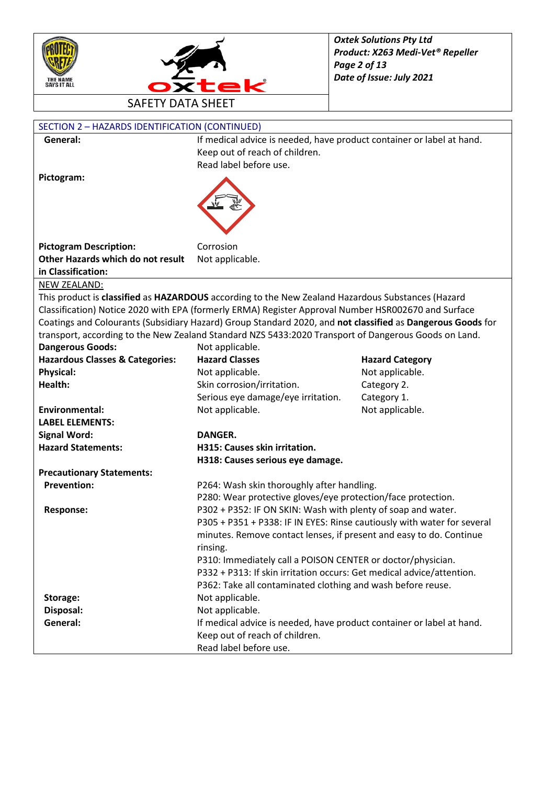



| <b>SECTION 2 - HAZARDS IDENTIFICATION (CONTINUED)</b> |                                                                                                            |                        |  |
|-------------------------------------------------------|------------------------------------------------------------------------------------------------------------|------------------------|--|
| General:                                              | If medical advice is needed, have product container or label at hand.                                      |                        |  |
|                                                       | Keep out of reach of children.                                                                             |                        |  |
|                                                       | Read label before use.                                                                                     |                        |  |
| Pictogram:                                            |                                                                                                            |                        |  |
|                                                       |                                                                                                            |                        |  |
|                                                       |                                                                                                            |                        |  |
|                                                       |                                                                                                            |                        |  |
|                                                       |                                                                                                            |                        |  |
|                                                       |                                                                                                            |                        |  |
| <b>Pictogram Description:</b>                         | Corrosion                                                                                                  |                        |  |
| Other Hazards which do not result                     | Not applicable.                                                                                            |                        |  |
| in Classification:                                    |                                                                                                            |                        |  |
| NEW ZEALAND:                                          |                                                                                                            |                        |  |
|                                                       | This product is classified as HAZARDOUS according to the New Zealand Hazardous Substances (Hazard          |                        |  |
|                                                       | Classification) Notice 2020 with EPA (formerly ERMA) Register Approval Number HSR002670 and Surface        |                        |  |
|                                                       | Coatings and Colourants (Subsidiary Hazard) Group Standard 2020, and not classified as Dangerous Goods for |                        |  |
|                                                       | transport, according to the New Zealand Standard NZS 5433:2020 Transport of Dangerous Goods on Land.       |                        |  |
| <b>Dangerous Goods:</b>                               | Not applicable.                                                                                            |                        |  |
| <b>Hazardous Classes &amp; Categories:</b>            | <b>Hazard Classes</b>                                                                                      | <b>Hazard Category</b> |  |
| <b>Physical:</b>                                      | Not applicable.                                                                                            | Not applicable.        |  |
| Health:                                               | Skin corrosion/irritation.                                                                                 | Category 2.            |  |
|                                                       | Serious eye damage/eye irritation.                                                                         | Category 1.            |  |
| <b>Environmental:</b>                                 | Not applicable.                                                                                            | Not applicable.        |  |
| <b>LABEL ELEMENTS:</b>                                |                                                                                                            |                        |  |
| <b>Signal Word:</b>                                   | DANGER.                                                                                                    |                        |  |
| <b>Hazard Statements:</b>                             | H315: Causes skin irritation.                                                                              |                        |  |
|                                                       | H318: Causes serious eye damage.                                                                           |                        |  |
| <b>Precautionary Statements:</b>                      |                                                                                                            |                        |  |
| <b>Prevention:</b>                                    | P264: Wash skin thoroughly after handling.                                                                 |                        |  |
|                                                       | P280: Wear protective gloves/eye protection/face protection.                                               |                        |  |
| <b>Response:</b>                                      | P302 + P352: IF ON SKIN: Wash with plenty of soap and water.                                               |                        |  |
|                                                       | P305 + P351 + P338: IF IN EYES: Rinse cautiously with water for several                                    |                        |  |
|                                                       | minutes. Remove contact lenses, if present and easy to do. Continue                                        |                        |  |
|                                                       | rinsing.                                                                                                   |                        |  |
|                                                       | P310: Immediately call a POISON CENTER or doctor/physician.                                                |                        |  |
|                                                       | P332 + P313: If skin irritation occurs: Get medical advice/attention.                                      |                        |  |
|                                                       | P362: Take all contaminated clothing and wash before reuse.                                                |                        |  |
| Storage:                                              | Not applicable.                                                                                            |                        |  |
| Disposal:                                             | Not applicable.                                                                                            |                        |  |
| General:                                              | If medical advice is needed, have product container or label at hand.                                      |                        |  |
|                                                       | Keep out of reach of children.                                                                             |                        |  |
|                                                       | Read label before use.                                                                                     |                        |  |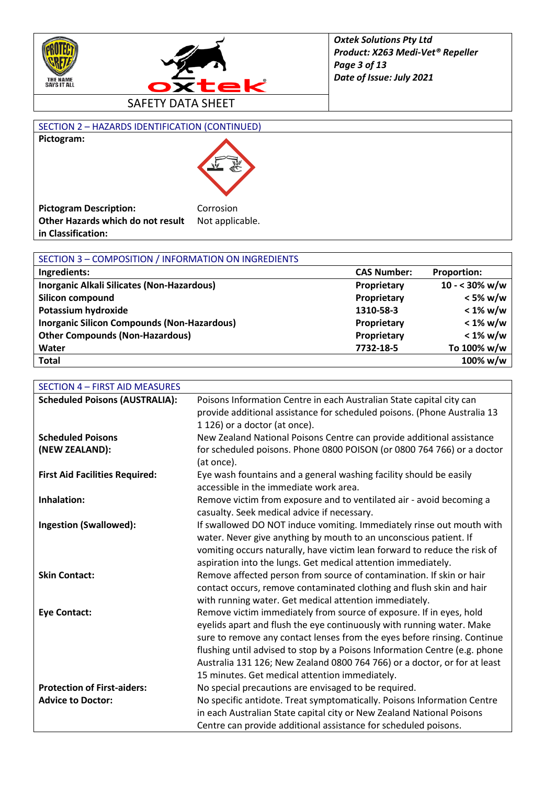



#### SECTION 2 – HAZARDS IDENTIFICATION (CONTINUED) **Pictogram:**



| <b>Pictogram Description:</b>     | Corrosion       |
|-----------------------------------|-----------------|
| Other Hazards which do not result | Not applicable. |
| in Classification:                |                 |

| SECTION 3 - COMPOSITION / INFORMATION ON INGREDIENTS |                    |                         |
|------------------------------------------------------|--------------------|-------------------------|
| Ingredients:                                         | <b>CAS Number:</b> | <b>Proportion:</b>      |
| Inorganic Alkali Silicates (Non-Hazardous)           | Proprietary        | $10 - 30\% \text{ w/w}$ |
| Silicon compound                                     | Proprietary        | $<$ 5% w/w              |
| Potassium hydroxide                                  | 1310-58-3          | $< 1\%$ w/w             |
| <b>Inorganic Silicon Compounds (Non-Hazardous)</b>   | Proprietary        | $< 1\%$ w/w             |
| <b>Other Compounds (Non-Hazardous)</b>               | Proprietary        | $< 1\%$ w/w             |
| Water                                                | 7732-18-5          | To 100% w/w             |
| <b>Total</b>                                         |                    | 100% w/w                |

| <b>SECTION 4 - FIRST AID MEASURES</b> |                                                                            |
|---------------------------------------|----------------------------------------------------------------------------|
| <b>Scheduled Poisons (AUSTRALIA):</b> | Poisons Information Centre in each Australian State capital city can       |
|                                       | provide additional assistance for scheduled poisons. (Phone Australia 13   |
|                                       | 1 126) or a doctor (at once).                                              |
| <b>Scheduled Poisons</b>              | New Zealand National Poisons Centre can provide additional assistance      |
| (NEW ZEALAND):                        | for scheduled poisons. Phone 0800 POISON (or 0800 764 766) or a doctor     |
|                                       | (at once).                                                                 |
| <b>First Aid Facilities Required:</b> | Eye wash fountains and a general washing facility should be easily         |
|                                       | accessible in the immediate work area.                                     |
| Inhalation:                           | Remove victim from exposure and to ventilated air - avoid becoming a       |
|                                       | casualty. Seek medical advice if necessary.                                |
| <b>Ingestion (Swallowed):</b>         | If swallowed DO NOT induce vomiting. Immediately rinse out mouth with      |
|                                       | water. Never give anything by mouth to an unconscious patient. If          |
|                                       | vomiting occurs naturally, have victim lean forward to reduce the risk of  |
|                                       | aspiration into the lungs. Get medical attention immediately.              |
| <b>Skin Contact:</b>                  | Remove affected person from source of contamination. If skin or hair       |
|                                       | contact occurs, remove contaminated clothing and flush skin and hair       |
|                                       | with running water. Get medical attention immediately.                     |
| <b>Eye Contact:</b>                   | Remove victim immediately from source of exposure. If in eyes, hold        |
|                                       | eyelids apart and flush the eye continuously with running water. Make      |
|                                       | sure to remove any contact lenses from the eyes before rinsing. Continue   |
|                                       | flushing until advised to stop by a Poisons Information Centre (e.g. phone |
|                                       | Australia 131 126; New Zealand 0800 764 766) or a doctor, or for at least  |
|                                       | 15 minutes. Get medical attention immediately.                             |
| <b>Protection of First-aiders:</b>    | No special precautions are envisaged to be required.                       |
| <b>Advice to Doctor:</b>              | No specific antidote. Treat symptomatically. Poisons Information Centre    |
|                                       | in each Australian State capital city or New Zealand National Poisons      |
|                                       | Centre can provide additional assistance for scheduled poisons.            |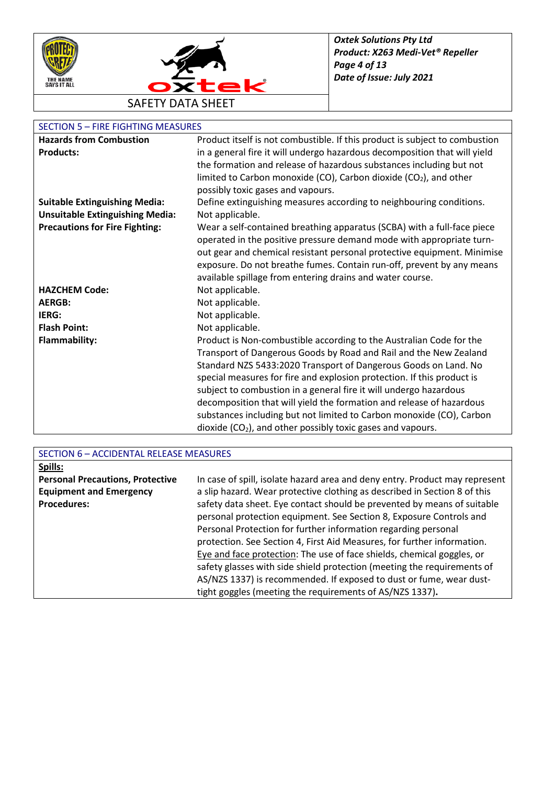



#### SECTION 5 – FIRE FIGHTING MEASURES

| <b>Hazards from Combustion</b>         | Product itself is not combustible. If this product is subject to combustion |
|----------------------------------------|-----------------------------------------------------------------------------|
| <b>Products:</b>                       | in a general fire it will undergo hazardous decomposition that will yield   |
|                                        | the formation and release of hazardous substances including but not         |
|                                        | limited to Carbon monoxide (CO), Carbon dioxide (CO2), and other            |
|                                        | possibly toxic gases and vapours.                                           |
| <b>Suitable Extinguishing Media:</b>   | Define extinguishing measures according to neighbouring conditions.         |
| <b>Unsuitable Extinguishing Media:</b> | Not applicable.                                                             |
| <b>Precautions for Fire Fighting:</b>  | Wear a self-contained breathing apparatus (SCBA) with a full-face piece     |
|                                        | operated in the positive pressure demand mode with appropriate turn-        |
|                                        | out gear and chemical resistant personal protective equipment. Minimise     |
|                                        | exposure. Do not breathe fumes. Contain run-off, prevent by any means       |
|                                        | available spillage from entering drains and water course.                   |
| <b>HAZCHEM Code:</b>                   | Not applicable.                                                             |
| <b>AERGB:</b>                          | Not applicable.                                                             |
| IERG:                                  | Not applicable.                                                             |
| <b>Flash Point:</b>                    | Not applicable.                                                             |
| <b>Flammability:</b>                   | Product is Non-combustible according to the Australian Code for the         |
|                                        | Transport of Dangerous Goods by Road and Rail and the New Zealand           |
|                                        | Standard NZS 5433:2020 Transport of Dangerous Goods on Land. No             |
|                                        | special measures for fire and explosion protection. If this product is      |
|                                        | subject to combustion in a general fire it will undergo hazardous           |
|                                        | decomposition that will yield the formation and release of hazardous        |
|                                        | substances including but not limited to Carbon monoxide (CO), Carbon        |
|                                        | dioxide $(CO2)$ , and other possibly toxic gases and vapours.               |

| SECTION 6 - ACCIDENTAL RELEASE MEASURES |                                                                             |  |
|-----------------------------------------|-----------------------------------------------------------------------------|--|
| Spills:                                 |                                                                             |  |
| <b>Personal Precautions, Protective</b> | In case of spill, isolate hazard area and deny entry. Product may represent |  |
| <b>Equipment and Emergency</b>          | a slip hazard. Wear protective clothing as described in Section 8 of this   |  |
| <b>Procedures:</b>                      | safety data sheet. Eye contact should be prevented by means of suitable     |  |
|                                         | personal protection equipment. See Section 8, Exposure Controls and         |  |
|                                         | Personal Protection for further information regarding personal              |  |
|                                         | protection. See Section 4, First Aid Measures, for further information.     |  |
|                                         | Eye and face protection: The use of face shields, chemical goggles, or      |  |
|                                         | safety glasses with side shield protection (meeting the requirements of     |  |
|                                         | AS/NZS 1337) is recommended. If exposed to dust or fume, wear dust-         |  |
|                                         | tight goggles (meeting the requirements of AS/NZS 1337).                    |  |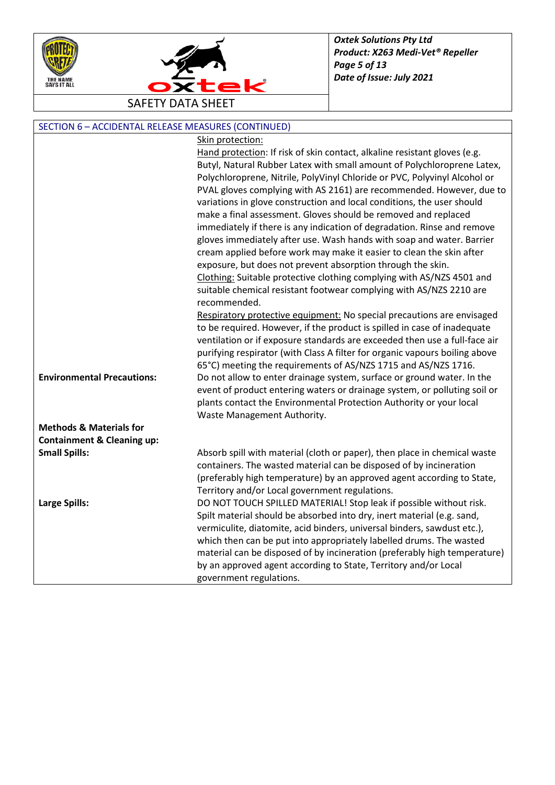



| SECTION 6 - ACCIDENTAL RELEASE MEASURES (CONTINUED) |                                                                             |  |
|-----------------------------------------------------|-----------------------------------------------------------------------------|--|
|                                                     | Skin protection:                                                            |  |
|                                                     | Hand protection: If risk of skin contact, alkaline resistant gloves (e.g.   |  |
|                                                     | Butyl, Natural Rubber Latex with small amount of Polychloroprene Latex,     |  |
|                                                     | Polychloroprene, Nitrile, PolyVinyl Chloride or PVC, Polyvinyl Alcohol or   |  |
|                                                     | PVAL gloves complying with AS 2161) are recommended. However, due to        |  |
|                                                     | variations in glove construction and local conditions, the user should      |  |
|                                                     | make a final assessment. Gloves should be removed and replaced              |  |
|                                                     | immediately if there is any indication of degradation. Rinse and remove     |  |
|                                                     | gloves immediately after use. Wash hands with soap and water. Barrier       |  |
|                                                     | cream applied before work may make it easier to clean the skin after        |  |
|                                                     | exposure, but does not prevent absorption through the skin.                 |  |
|                                                     | Clothing: Suitable protective clothing complying with AS/NZS 4501 and       |  |
|                                                     | suitable chemical resistant footwear complying with AS/NZS 2210 are         |  |
|                                                     | recommended.                                                                |  |
|                                                     | Respiratory protective equipment: No special precautions are envisaged      |  |
|                                                     | to be required. However, if the product is spilled in case of inadequate    |  |
|                                                     | ventilation or if exposure standards are exceeded then use a full-face air  |  |
|                                                     | purifying respirator (with Class A filter for organic vapours boiling above |  |
|                                                     | 65°C) meeting the requirements of AS/NZS 1715 and AS/NZS 1716.              |  |
| <b>Environmental Precautions:</b>                   | Do not allow to enter drainage system, surface or ground water. In the      |  |
|                                                     | event of product entering waters or drainage system, or polluting soil or   |  |
|                                                     | plants contact the Environmental Protection Authority or your local         |  |
|                                                     | Waste Management Authority.                                                 |  |
| <b>Methods &amp; Materials for</b>                  |                                                                             |  |
| <b>Containment &amp; Cleaning up:</b>               |                                                                             |  |
| <b>Small Spills:</b>                                | Absorb spill with material (cloth or paper), then place in chemical waste   |  |
|                                                     | containers. The wasted material can be disposed of by incineration          |  |
|                                                     | (preferably high temperature) by an approved agent according to State,      |  |
|                                                     | Territory and/or Local government regulations.                              |  |
| <b>Large Spills:</b>                                | DO NOT TOUCH SPILLED MATERIAL! Stop leak if possible without risk.          |  |
|                                                     | Spilt material should be absorbed into dry, inert material (e.g. sand,      |  |
|                                                     | vermiculite, diatomite, acid binders, universal binders, sawdust etc.),     |  |
|                                                     | which then can be put into appropriately labelled drums. The wasted         |  |
|                                                     | material can be disposed of by incineration (preferably high temperature)   |  |
|                                                     | by an approved agent according to State, Territory and/or Local             |  |
|                                                     | government regulations.                                                     |  |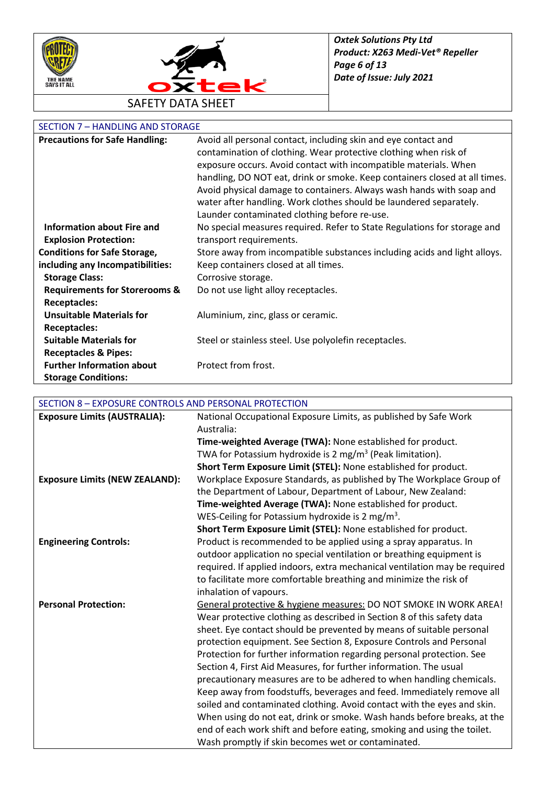



## SECTION 7 – HANDLING AND STORAGE

| <b>Precautions for Safe Handling:</b>    | Avoid all personal contact, including skin and eye contact and             |
|------------------------------------------|----------------------------------------------------------------------------|
|                                          | contamination of clothing. Wear protective clothing when risk of           |
|                                          | exposure occurs. Avoid contact with incompatible materials. When           |
|                                          | handling, DO NOT eat, drink or smoke. Keep containers closed at all times. |
|                                          | Avoid physical damage to containers. Always wash hands with soap and       |
|                                          | water after handling. Work clothes should be laundered separately.         |
|                                          | Launder contaminated clothing before re-use.                               |
| <b>Information about Fire and</b>        | No special measures required. Refer to State Regulations for storage and   |
| <b>Explosion Protection:</b>             | transport requirements.                                                    |
| <b>Conditions for Safe Storage,</b>      | Store away from incompatible substances including acids and light alloys.  |
| including any Incompatibilities:         | Keep containers closed at all times.                                       |
| <b>Storage Class:</b>                    | Corrosive storage.                                                         |
| <b>Requirements for Storerooms &amp;</b> | Do not use light alloy receptacles.                                        |
| <b>Receptacles:</b>                      |                                                                            |
| <b>Unsuitable Materials for</b>          | Aluminium, zinc, glass or ceramic.                                         |
| <b>Receptacles:</b>                      |                                                                            |
| <b>Suitable Materials for</b>            | Steel or stainless steel. Use polyolefin receptacles.                      |
| <b>Receptacles &amp; Pipes:</b>          |                                                                            |
| <b>Further Information about</b>         | Protect from frost.                                                        |
| <b>Storage Conditions:</b>               |                                                                            |

## SECTION 8 – EXPOSURE CONTROLS AND PERSONAL PROTECTION

| <b>Exposure Limits (AUSTRALIA):</b>   | National Occupational Exposure Limits, as published by Safe Work           |
|---------------------------------------|----------------------------------------------------------------------------|
|                                       | Australia:                                                                 |
|                                       | Time-weighted Average (TWA): None established for product.                 |
|                                       | TWA for Potassium hydroxide is 2 mg/m <sup>3</sup> (Peak limitation).      |
|                                       | Short Term Exposure Limit (STEL): None established for product.            |
| <b>Exposure Limits (NEW ZEALAND):</b> | Workplace Exposure Standards, as published by The Workplace Group of       |
|                                       | the Department of Labour, Department of Labour, New Zealand:               |
|                                       | Time-weighted Average (TWA): None established for product.                 |
|                                       | WES-Ceiling for Potassium hydroxide is 2 mg/m <sup>3</sup> .               |
|                                       | Short Term Exposure Limit (STEL): None established for product.            |
| <b>Engineering Controls:</b>          | Product is recommended to be applied using a spray apparatus. In           |
|                                       | outdoor application no special ventilation or breathing equipment is       |
|                                       | required. If applied indoors, extra mechanical ventilation may be required |
|                                       | to facilitate more comfortable breathing and minimize the risk of          |
|                                       | inhalation of vapours.                                                     |
| <b>Personal Protection:</b>           | General protective & hygiene measures: DO NOT SMOKE IN WORK AREA!          |
|                                       | Wear protective clothing as described in Section 8 of this safety data     |
|                                       | sheet. Eye contact should be prevented by means of suitable personal       |
|                                       | protection equipment. See Section 8, Exposure Controls and Personal        |
|                                       | Protection for further information regarding personal protection. See      |
|                                       | Section 4, First Aid Measures, for further information. The usual          |
|                                       | precautionary measures are to be adhered to when handling chemicals.       |
|                                       | Keep away from foodstuffs, beverages and feed. Immediately remove all      |
|                                       | soiled and contaminated clothing. Avoid contact with the eyes and skin.    |
|                                       | When using do not eat, drink or smoke. Wash hands before breaks, at the    |
|                                       | end of each work shift and before eating, smoking and using the toilet.    |
|                                       | Wash promptly if skin becomes wet or contaminated.                         |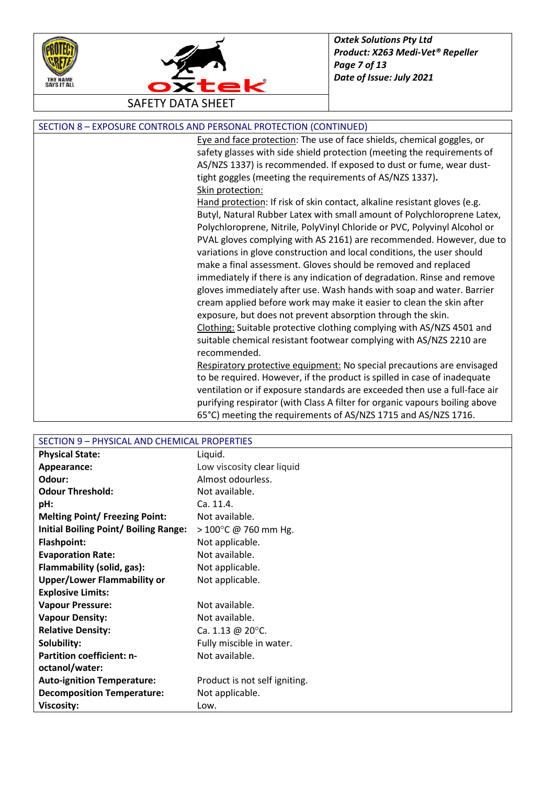



SECTION 8 – EXPOSURE CONTROLS AND PERSONAL PROTECTION (CONTINUED)

Eye and face protection: The use of face shields, chemical goggles, or safety glasses with side shield protection (meeting the requirements of AS/NZS 1337) is recommended. If exposed to dust or fume, wear dusttight goggles (meeting the requirements of AS/NZS 1337)**.** Skin protection:

Hand protection: If risk of skin contact, alkaline resistant gloves (e.g. Butyl, Natural Rubber Latex with small amount of Polychloroprene Latex, Polychloroprene, Nitrile, PolyVinyl Chloride or PVC, Polyvinyl Alcohol or PVAL gloves complying with AS 2161) are recommended. However, due to variations in glove construction and local conditions, the user should make a final assessment. Gloves should be removed and replaced immediately if there is any indication of degradation. Rinse and remove gloves immediately after use. Wash hands with soap and water. Barrier cream applied before work may make it easier to clean the skin after exposure, but does not prevent absorption through the skin. Clothing: Suitable protective clothing complying with AS/NZS 4501 and suitable chemical resistant footwear complying with AS/NZS 2210 are recommended.

Respiratory protective equipment: No special precautions are envisaged to be required. However, if the product is spilled in case of inadequate ventilation or if exposure standards are exceeded then use a full-face air purifying respirator (with Class A filter for organic vapours boiling above 65°C) meeting the requirements of AS/NZS 1715 and AS/NZS 1716.

| SECTION 9 - PHYSICAL AND CHEMICAL PROPERTIES |                                |
|----------------------------------------------|--------------------------------|
| <b>Physical State:</b>                       | Liquid.                        |
| Appearance:                                  | Low viscosity clear liquid     |
| Odour:                                       | Almost odourless.              |
| <b>Odour Threshold:</b>                      | Not available.                 |
| pH:                                          | Ca. 11.4.                      |
| <b>Melting Point/ Freezing Point:</b>        | Not available.                 |
| <b>Initial Boiling Point/ Boiling Range:</b> | $> 100^{\circ}$ C @ 760 mm Hg. |
| <b>Flashpoint:</b>                           | Not applicable.                |
| <b>Evaporation Rate:</b>                     | Not available.                 |
| Flammability (solid, gas):                   | Not applicable.                |
| <b>Upper/Lower Flammability or</b>           | Not applicable.                |
| <b>Explosive Limits:</b>                     |                                |
| <b>Vapour Pressure:</b>                      | Not available.                 |
| <b>Vapour Density:</b>                       | Not available.                 |
| <b>Relative Density:</b>                     | Ca. 1.13 @ 20°C.               |
| Solubility:                                  | Fully miscible in water.       |
| <b>Partition coefficient: n-</b>             | Not available.                 |
| octanol/water:                               |                                |
| <b>Auto-ignition Temperature:</b>            | Product is not self igniting.  |
| <b>Decomposition Temperature:</b>            | Not applicable.                |
| <b>Viscosity:</b>                            | Low.                           |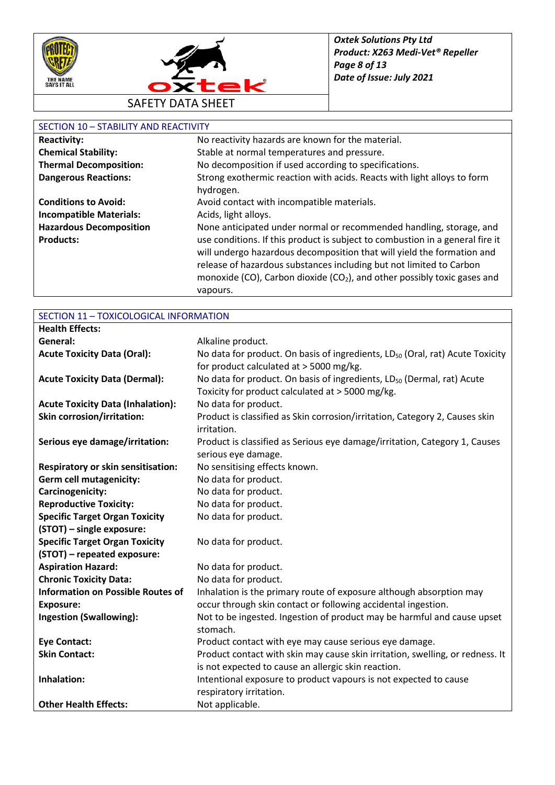



### SECTION 10 – STABILITY AND REACTIVITY

| <b>Reactivity:</b>             | No reactivity hazards are known for the material.                                    |
|--------------------------------|--------------------------------------------------------------------------------------|
| <b>Chemical Stability:</b>     | Stable at normal temperatures and pressure.                                          |
| <b>Thermal Decomposition:</b>  | No decomposition if used according to specifications.                                |
| <b>Dangerous Reactions:</b>    | Strong exothermic reaction with acids. Reacts with light alloys to form              |
|                                | hydrogen.                                                                            |
| <b>Conditions to Avoid:</b>    | Avoid contact with incompatible materials.                                           |
| <b>Incompatible Materials:</b> | Acids, light alloys.                                                                 |
| <b>Hazardous Decomposition</b> | None anticipated under normal or recommended handling, storage, and                  |
| <b>Products:</b>               | use conditions. If this product is subject to combustion in a general fire it        |
|                                | will undergo hazardous decomposition that will yield the formation and               |
|                                | release of hazardous substances including but not limited to Carbon                  |
|                                | monoxide (CO), Carbon dioxide (CO <sub>2</sub> ), and other possibly toxic gases and |
|                                | vapours.                                                                             |

| SECTION 11 - TOXICOLOGICAL INFORMATION    |                                                                                           |
|-------------------------------------------|-------------------------------------------------------------------------------------------|
| <b>Health Effects:</b>                    |                                                                                           |
| General:                                  | Alkaline product.                                                                         |
| <b>Acute Toxicity Data (Oral):</b>        | No data for product. On basis of ingredients, LD <sub>50</sub> (Oral, rat) Acute Toxicity |
|                                           | for product calculated at > 5000 mg/kg.                                                   |
| <b>Acute Toxicity Data (Dermal):</b>      | No data for product. On basis of ingredients, LD <sub>50</sub> (Dermal, rat) Acute        |
|                                           | Toxicity for product calculated at > 5000 mg/kg.                                          |
| <b>Acute Toxicity Data (Inhalation):</b>  | No data for product.                                                                      |
| <b>Skin corrosion/irritation:</b>         | Product is classified as Skin corrosion/irritation, Category 2, Causes skin               |
|                                           | irritation.                                                                               |
| Serious eye damage/irritation:            | Product is classified as Serious eye damage/irritation, Category 1, Causes                |
|                                           | serious eye damage.                                                                       |
| <b>Respiratory or skin sensitisation:</b> | No sensitising effects known.                                                             |
| <b>Germ cell mutagenicity:</b>            | No data for product.                                                                      |
| Carcinogenicity:                          | No data for product.                                                                      |
| <b>Reproductive Toxicity:</b>             | No data for product.                                                                      |
| <b>Specific Target Organ Toxicity</b>     | No data for product.                                                                      |
| (STOT) - single exposure:                 |                                                                                           |
| <b>Specific Target Organ Toxicity</b>     | No data for product.                                                                      |
| (STOT) - repeated exposure:               |                                                                                           |
| <b>Aspiration Hazard:</b>                 | No data for product.                                                                      |
| <b>Chronic Toxicity Data:</b>             | No data for product.                                                                      |
| <b>Information on Possible Routes of</b>  | Inhalation is the primary route of exposure although absorption may                       |
| <b>Exposure:</b>                          | occur through skin contact or following accidental ingestion.                             |
| <b>Ingestion (Swallowing):</b>            | Not to be ingested. Ingestion of product may be harmful and cause upset                   |
|                                           | stomach.                                                                                  |
| <b>Eye Contact:</b>                       | Product contact with eye may cause serious eye damage.                                    |
| <b>Skin Contact:</b>                      | Product contact with skin may cause skin irritation, swelling, or redness. It             |
|                                           | is not expected to cause an allergic skin reaction.                                       |
| Inhalation:                               | Intentional exposure to product vapours is not expected to cause                          |
|                                           | respiratory irritation.                                                                   |
| <b>Other Health Effects:</b>              | Not applicable.                                                                           |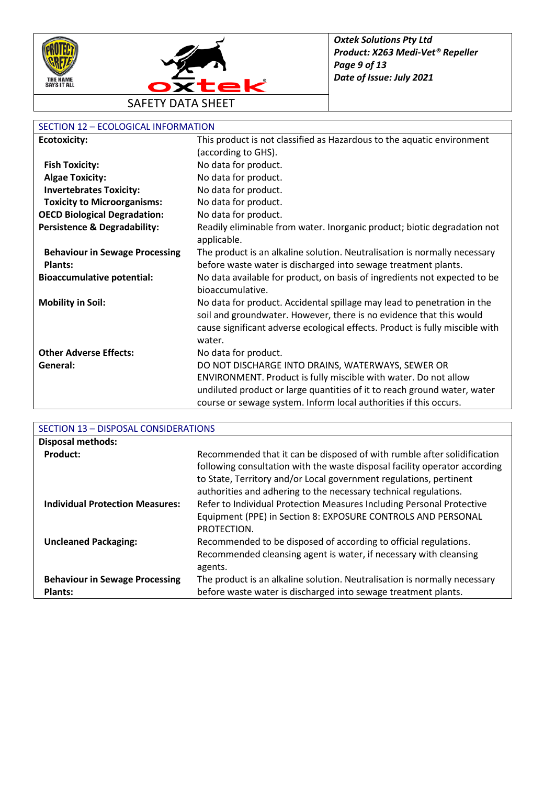



## SECTION 12 – ECOLOGICAL INFORMATION

| <b>Ecotoxicity:</b>                     | This product is not classified as Hazardous to the aquatic environment                                                                         |
|-----------------------------------------|------------------------------------------------------------------------------------------------------------------------------------------------|
|                                         | (according to GHS).                                                                                                                            |
| <b>Fish Toxicity:</b>                   | No data for product.                                                                                                                           |
| <b>Algae Toxicity:</b>                  | No data for product.                                                                                                                           |
| <b>Invertebrates Toxicity:</b>          | No data for product.                                                                                                                           |
| <b>Toxicity to Microorganisms:</b>      | No data for product.                                                                                                                           |
| <b>OECD Biological Degradation:</b>     | No data for product.                                                                                                                           |
| <b>Persistence &amp; Degradability:</b> | Readily eliminable from water. Inorganic product; biotic degradation not<br>applicable.                                                        |
| <b>Behaviour in Sewage Processing</b>   | The product is an alkaline solution. Neutralisation is normally necessary                                                                      |
| <b>Plants:</b>                          | before waste water is discharged into sewage treatment plants.                                                                                 |
| <b>Bioaccumulative potential:</b>       | No data available for product, on basis of ingredients not expected to be<br>bioaccumulative.                                                  |
| <b>Mobility in Soil:</b>                | No data for product. Accidental spillage may lead to penetration in the<br>soil and groundwater. However, there is no evidence that this would |
|                                         | cause significant adverse ecological effects. Product is fully miscible with                                                                   |
|                                         | water.                                                                                                                                         |
| <b>Other Adverse Effects:</b>           | No data for product.                                                                                                                           |
| General:                                | DO NOT DISCHARGE INTO DRAINS, WATERWAYS, SEWER OR                                                                                              |
|                                         | ENVIRONMENT. Product is fully miscible with water. Do not allow                                                                                |
|                                         | undiluted product or large quantities of it to reach ground water, water                                                                       |
|                                         | course or sewage system. Inform local authorities if this occurs.                                                                              |

| SECTION 13 - DISPOSAL CONSIDERATIONS                    |                                                                                                                                                                                                                                                                                                 |
|---------------------------------------------------------|-------------------------------------------------------------------------------------------------------------------------------------------------------------------------------------------------------------------------------------------------------------------------------------------------|
| <b>Disposal methods:</b>                                |                                                                                                                                                                                                                                                                                                 |
| Product:                                                | Recommended that it can be disposed of with rumble after solidification<br>following consultation with the waste disposal facility operator according<br>to State, Territory and/or Local government regulations, pertinent<br>authorities and adhering to the necessary technical regulations. |
| <b>Individual Protection Measures:</b>                  | Refer to Individual Protection Measures Including Personal Protective<br>Equipment (PPE) in Section 8: EXPOSURE CONTROLS AND PERSONAL<br>PROTECTION.                                                                                                                                            |
| <b>Uncleaned Packaging:</b>                             | Recommended to be disposed of according to official regulations.<br>Recommended cleansing agent is water, if necessary with cleansing<br>agents.                                                                                                                                                |
| <b>Behaviour in Sewage Processing</b><br><b>Plants:</b> | The product is an alkaline solution. Neutralisation is normally necessary<br>before waste water is discharged into sewage treatment plants.                                                                                                                                                     |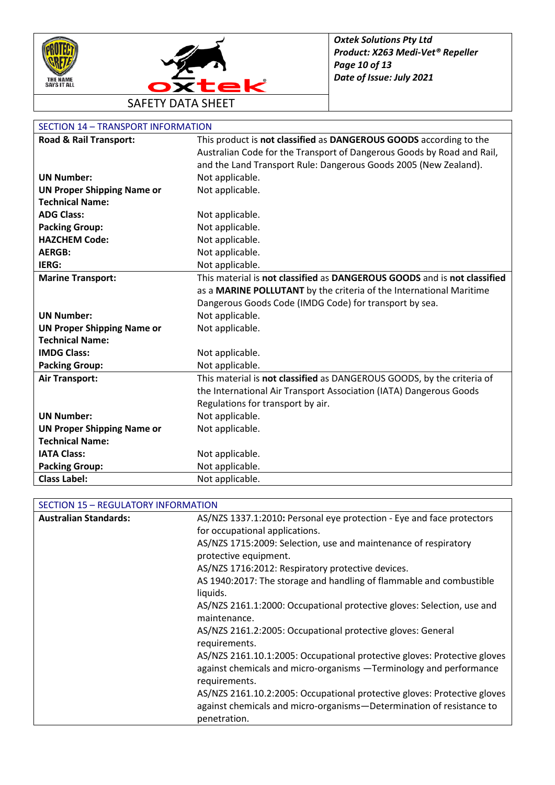



| <b>SECTION 14 - TRANSPORT INFORMATION</b> |                                                                          |
|-------------------------------------------|--------------------------------------------------------------------------|
| <b>Road &amp; Rail Transport:</b>         | This product is not classified as DANGEROUS GOODS according to the       |
|                                           | Australian Code for the Transport of Dangerous Goods by Road and Rail,   |
|                                           | and the Land Transport Rule: Dangerous Goods 2005 (New Zealand).         |
| <b>UN Number:</b>                         | Not applicable.                                                          |
| <b>UN Proper Shipping Name or</b>         | Not applicable.                                                          |
| <b>Technical Name:</b>                    |                                                                          |
| <b>ADG Class:</b>                         | Not applicable.                                                          |
| <b>Packing Group:</b>                     | Not applicable.                                                          |
| <b>HAZCHEM Code:</b>                      | Not applicable.                                                          |
| <b>AERGB:</b>                             | Not applicable.                                                          |
| IERG:                                     | Not applicable.                                                          |
| <b>Marine Transport:</b>                  | This material is not classified as DANGEROUS GOODS and is not classified |
|                                           | as a MARINE POLLUTANT by the criteria of the International Maritime      |
|                                           | Dangerous Goods Code (IMDG Code) for transport by sea.                   |
| <b>UN Number:</b>                         | Not applicable.                                                          |
| <b>UN Proper Shipping Name or</b>         | Not applicable.                                                          |
| <b>Technical Name:</b>                    |                                                                          |
| <b>IMDG Class:</b>                        | Not applicable.                                                          |
| <b>Packing Group:</b>                     | Not applicable.                                                          |
| <b>Air Transport:</b>                     | This material is not classified as DANGEROUS GOODS, by the criteria of   |
|                                           | the International Air Transport Association (IATA) Dangerous Goods       |
|                                           | Regulations for transport by air.                                        |
| <b>UN Number:</b>                         | Not applicable.                                                          |
| <b>UN Proper Shipping Name or</b>         | Not applicable.                                                          |
| <b>Technical Name:</b>                    |                                                                          |
| <b>IATA Class:</b>                        | Not applicable.                                                          |
| <b>Packing Group:</b>                     | Not applicable.                                                          |
| <b>Class Label:</b>                       | Not applicable.                                                          |

| SECTION 15 - REGULATORY INFORMATION |  |
|-------------------------------------|--|
|-------------------------------------|--|

| <b>Australian Standards:</b> | AS/NZS 1337.1:2010: Personal eye protection - Eye and face protectors                                                                                            |
|------------------------------|------------------------------------------------------------------------------------------------------------------------------------------------------------------|
|                              | for occupational applications.                                                                                                                                   |
|                              | AS/NZS 1715:2009: Selection, use and maintenance of respiratory                                                                                                  |
|                              | protective equipment.                                                                                                                                            |
|                              | AS/NZS 1716:2012: Respiratory protective devices.                                                                                                                |
|                              | AS 1940:2017: The storage and handling of flammable and combustible<br>liquids.                                                                                  |
|                              | AS/NZS 2161.1:2000: Occupational protective gloves: Selection, use and<br>maintenance.                                                                           |
|                              | AS/NZS 2161.2:2005: Occupational protective gloves: General<br>requirements.                                                                                     |
|                              | AS/NZS 2161.10.1:2005: Occupational protective gloves: Protective gloves<br>against chemicals and micro-organisms -Terminology and performance<br>requirements.  |
|                              | AS/NZS 2161.10.2:2005: Occupational protective gloves: Protective gloves<br>against chemicals and micro-organisms-Determination of resistance to<br>penetration. |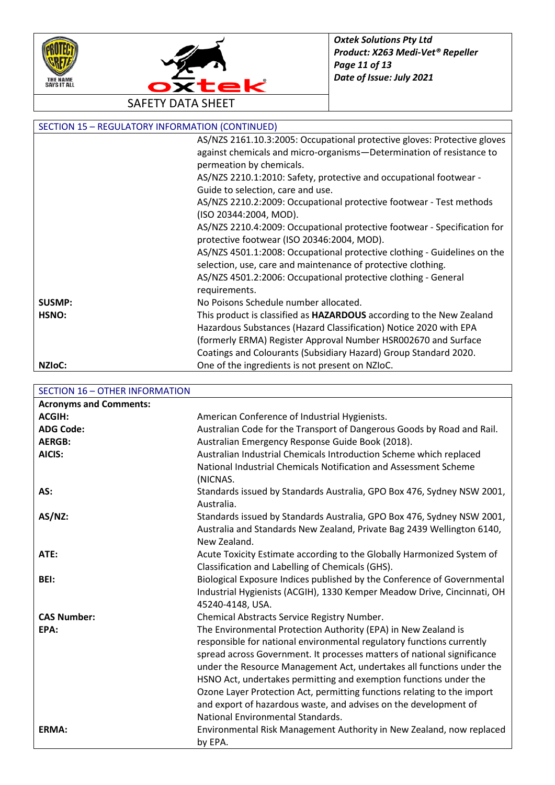



| <b>SECTION 15 - REGULATORY INFORMATION (CONTINUED)</b> |                                                                             |
|--------------------------------------------------------|-----------------------------------------------------------------------------|
|                                                        | AS/NZS 2161.10.3:2005: Occupational protective gloves: Protective gloves    |
|                                                        | against chemicals and micro-organisms-Determination of resistance to        |
|                                                        | permeation by chemicals.                                                    |
|                                                        | AS/NZS 2210.1:2010: Safety, protective and occupational footwear -          |
|                                                        | Guide to selection, care and use.                                           |
|                                                        | AS/NZS 2210.2:2009: Occupational protective footwear - Test methods         |
|                                                        | (ISO 20344:2004, MOD).                                                      |
|                                                        | AS/NZS 2210.4:2009: Occupational protective footwear - Specification for    |
|                                                        | protective footwear (ISO 20346:2004, MOD).                                  |
|                                                        | AS/NZS 4501.1:2008: Occupational protective clothing - Guidelines on the    |
|                                                        | selection, use, care and maintenance of protective clothing.                |
|                                                        | AS/NZS 4501.2:2006: Occupational protective clothing - General              |
|                                                        | requirements.                                                               |
| <b>SUSMP:</b>                                          | No Poisons Schedule number allocated.                                       |
| HSNO:                                                  | This product is classified as <b>HAZARDOUS</b> according to the New Zealand |
|                                                        | Hazardous Substances (Hazard Classification) Notice 2020 with EPA           |
|                                                        | (formerly ERMA) Register Approval Number HSR002670 and Surface              |
|                                                        | Coatings and Colourants (Subsidiary Hazard) Group Standard 2020.            |
| NZI <sub>o</sub> C:                                    | One of the ingredients is not present on NZIoC.                             |

SECTION 16 – OTHER INFORMATION

| <b>Acronyms and Comments:</b> |                                                                         |
|-------------------------------|-------------------------------------------------------------------------|
| <b>ACGIH:</b>                 | American Conference of Industrial Hygienists.                           |
| <b>ADG Code:</b>              | Australian Code for the Transport of Dangerous Goods by Road and Rail.  |
| <b>AERGB:</b>                 | Australian Emergency Response Guide Book (2018).                        |
| AICIS:                        | Australian Industrial Chemicals Introduction Scheme which replaced      |
|                               | National Industrial Chemicals Notification and Assessment Scheme        |
|                               | (NICNAS.                                                                |
| AS:                           | Standards issued by Standards Australia, GPO Box 476, Sydney NSW 2001,  |
|                               | Australia.                                                              |
| $AS/NZ$ :                     | Standards issued by Standards Australia, GPO Box 476, Sydney NSW 2001,  |
|                               | Australia and Standards New Zealand, Private Bag 2439 Wellington 6140,  |
|                               | New Zealand.                                                            |
| ATE:                          | Acute Toxicity Estimate according to the Globally Harmonized System of  |
|                               | Classification and Labelling of Chemicals (GHS).                        |
| BEI:                          | Biological Exposure Indices published by the Conference of Governmental |
|                               | Industrial Hygienists (ACGIH), 1330 Kemper Meadow Drive, Cincinnati, OH |
|                               | 45240-4148, USA.                                                        |
| <b>CAS Number:</b>            | Chemical Abstracts Service Registry Number.                             |
| EPA:                          | The Environmental Protection Authority (EPA) in New Zealand is          |
|                               | responsible for national environmental regulatory functions currently   |
|                               | spread across Government. It processes matters of national significance |
|                               | under the Resource Management Act, undertakes all functions under the   |
|                               | HSNO Act, undertakes permitting and exemption functions under the       |
|                               | Ozone Layer Protection Act, permitting functions relating to the import |
|                               | and export of hazardous waste, and advises on the development of        |
|                               | National Environmental Standards.                                       |
| ERMA:                         | Environmental Risk Management Authority in New Zealand, now replaced    |
|                               | by EPA.                                                                 |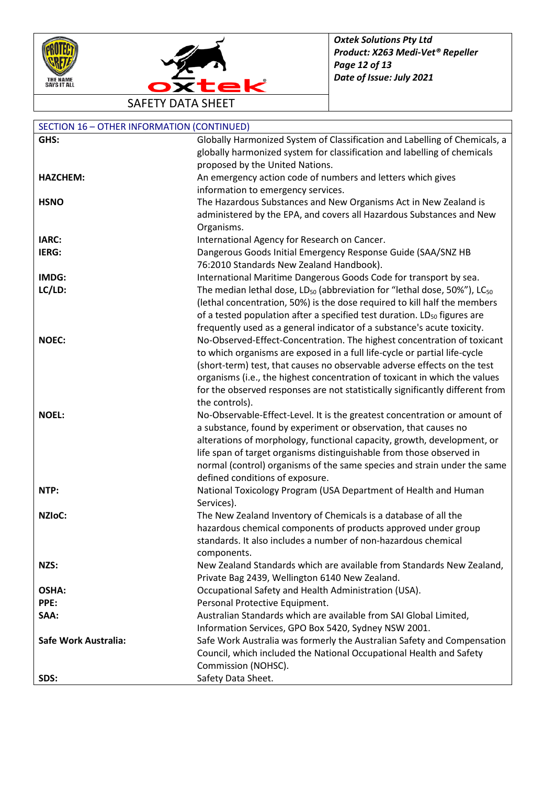



| <b>SECTION 16 - OTHER INFORMATION (CONTINUED)</b> |                                                                                                                                              |
|---------------------------------------------------|----------------------------------------------------------------------------------------------------------------------------------------------|
| GHS:                                              | Globally Harmonized System of Classification and Labelling of Chemicals, a                                                                   |
|                                                   | globally harmonized system for classification and labelling of chemicals                                                                     |
|                                                   | proposed by the United Nations.                                                                                                              |
| <b>HAZCHEM:</b>                                   | An emergency action code of numbers and letters which gives                                                                                  |
|                                                   | information to emergency services.                                                                                                           |
| <b>HSNO</b>                                       | The Hazardous Substances and New Organisms Act in New Zealand is                                                                             |
|                                                   | administered by the EPA, and covers all Hazardous Substances and New                                                                         |
|                                                   | Organisms.                                                                                                                                   |
| IARC:                                             | International Agency for Research on Cancer.                                                                                                 |
| IERG:                                             | Dangerous Goods Initial Emergency Response Guide (SAA/SNZ HB                                                                                 |
|                                                   | 76:2010 Standards New Zealand Handbook).                                                                                                     |
| IMDG:                                             | International Maritime Dangerous Goods Code for transport by sea.                                                                            |
| LC/LD:                                            | The median lethal dose, LD <sub>50</sub> (abbreviation for "lethal dose, 50%"), LC <sub>50</sub>                                             |
|                                                   | (lethal concentration, 50%) is the dose required to kill half the members                                                                    |
|                                                   | of a tested population after a specified test duration. LD <sub>50</sub> figures are                                                         |
|                                                   | frequently used as a general indicator of a substance's acute toxicity.                                                                      |
| <b>NOEC:</b>                                      | No-Observed-Effect-Concentration. The highest concentration of toxicant                                                                      |
|                                                   | to which organisms are exposed in a full life-cycle or partial life-cycle                                                                    |
|                                                   | (short-term) test, that causes no observable adverse effects on the test                                                                     |
|                                                   | organisms (i.e., the highest concentration of toxicant in which the values                                                                   |
|                                                   | for the observed responses are not statistically significantly different from                                                                |
|                                                   | the controls).                                                                                                                               |
| <b>NOEL:</b>                                      | No-Observable-Effect-Level. It is the greatest concentration or amount of<br>a substance, found by experiment or observation, that causes no |
|                                                   | alterations of morphology, functional capacity, growth, development, or                                                                      |
|                                                   | life span of target organisms distinguishable from those observed in                                                                         |
|                                                   | normal (control) organisms of the same species and strain under the same                                                                     |
|                                                   | defined conditions of exposure.                                                                                                              |
| NTP:                                              | National Toxicology Program (USA Department of Health and Human                                                                              |
|                                                   | Services).                                                                                                                                   |
| <b>NZIOC:</b>                                     | The New Zealand Inventory of Chemicals is a database of all the                                                                              |
|                                                   | hazardous chemical components of products approved under group                                                                               |
|                                                   | standards. It also includes a number of non-hazardous chemical                                                                               |
|                                                   | components.                                                                                                                                  |
| NZS:                                              | New Zealand Standards which are available from Standards New Zealand,                                                                        |
|                                                   | Private Bag 2439, Wellington 6140 New Zealand.                                                                                               |
| OSHA:                                             | Occupational Safety and Health Administration (USA).                                                                                         |
| PPE:                                              | Personal Protective Equipment.                                                                                                               |
| SAA:                                              | Australian Standards which are available from SAI Global Limited,                                                                            |
|                                                   | Information Services, GPO Box 5420, Sydney NSW 2001.                                                                                         |
| Safe Work Australia:                              | Safe Work Australia was formerly the Australian Safety and Compensation                                                                      |
|                                                   | Council, which included the National Occupational Health and Safety                                                                          |
|                                                   | Commission (NOHSC).                                                                                                                          |
| SDS:                                              | Safety Data Sheet.                                                                                                                           |